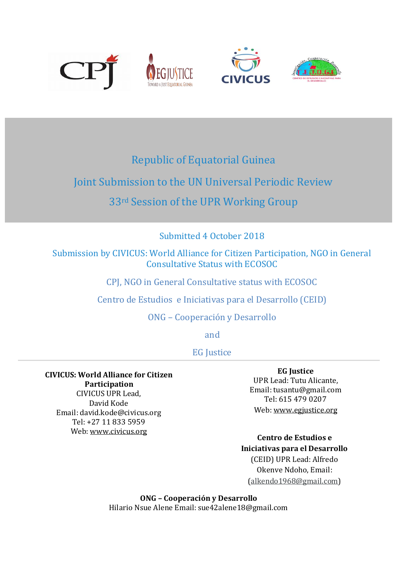







## Republic of Equatorial Guinea

## Joint Submission to the UN Universal Periodic Review

# 33rd Session of the UPR Working Group

Submitted 4 October 2018

Submission by CIVICUS: World Alliance for Citizen Participation, NGO in General Consultative Status with ECOSOC

CPJ, NGO in General Consultative status with ECOSOC

Centro de Estudios e Iniciativas para el Desarrollo (CEID)

ONG – Cooperación y Desarrollo

and

EG Justice

**CIVICUS: World Alliance for Citizen Participation** CIVICUS UPR Lead, David Kode Email: david.kode@civicus.org Tel: +27 11 833 5959 Web: [www.civicus.org](http://www.civicus.org/)

**EG Justice** UPR Lead: Tutu Alicante, Email: tusantu@gmail.com Tel: 615 479 0207 Web: [www.egjustice.org](http://www.egjustice.org/)

**Centro de Estudios e Iniciativas para el Desarrollo** (CEID) UPR Lead: Alfredo Okenve Ndoho, Email: [\(alkendo1968@gmail.com\)](mailto:alkendo1968@gmail.com)

**ONG – Cooperación y Desarrollo** Hilario Nsue Alene Email: sue42alene18@gmail.com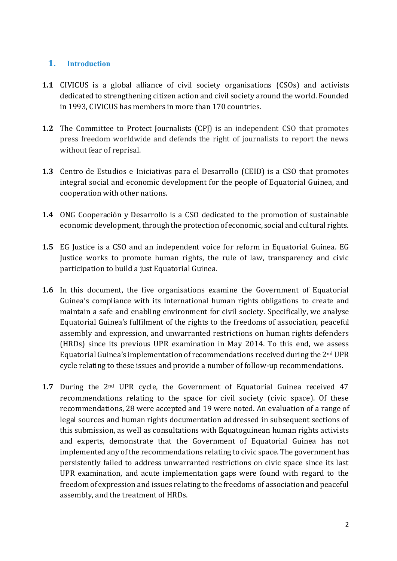## **1. Introduction**

- **1.1** CIVICUS is a global alliance of civil society organisations (CSOs) and activists dedicated to strengthening citizen action and civil society around the world. Founded in 1993, CIVICUS has members in more than 170 countries.
- **1.2** The Committee to Protect Journalists (CPJ) is an independent CSO that promotes press freedom worldwide and defends the right of journalists to report the news without fear of reprisal.
- **1.3** Centro de Estudios e Iniciativas para el Desarrollo (CEID) is a CSO that promotes integral social and economic development for the people of Equatorial Guinea, and cooperation with other nations.
- **1.4** ONG Cooperación y Desarrollo is a CSO dedicated to the promotion of sustainable economic development, through the protection of economic, social and cultural rights.
- **1.5** EG Justice is a CSO and an independent voice for reform in Equatorial Guinea. EG Justice works to promote human rights, the rule of law, transparency and civic participation to build a just Equatorial Guinea.
- **1.6** In this document, the five organisations examine the Government of Equatorial Guinea's compliance with its international human rights obligations to create and maintain a safe and enabling environment for civil society. Specifically, we analyse Equatorial Guinea's fulfilment of the rights to the freedoms of association, peaceful assembly and expression, and unwarranted restrictions on human rights defenders (HRDs) since its previous UPR examination in May 2014. To this end, we assess Equatorial Guinea's implementation of recommendations received during the 2nd UPR cycle relating to these issues and provide a number of follow-up recommendations.
- **1.7** During the 2<sup>nd</sup> UPR cycle, the Government of Equatorial Guinea received 47 recommendations relating to the space for civil society (civic space). Of these recommendations, 28 were accepted and 19 were noted. An evaluation of a range of legal sources and human rights documentation addressed in subsequent sections of this submission, as well as consultations with Equatoguinean human rights activists and experts, demonstrate that the Government of Equatorial Guinea has not implemented any of the recommendations relating to civic space. The government has persistently failed to address unwarranted restrictions on civic space since its last UPR examination, and acute implementation gaps were found with regard to the freedom of expression and issues relating to the freedoms of association and peaceful assembly, and the treatment of HRDs.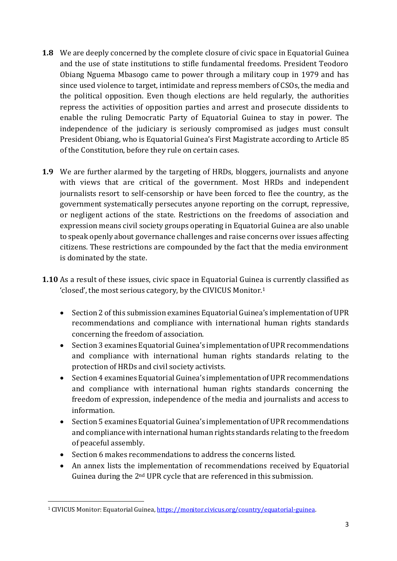- **1.8** We are deeply concerned by the complete closure of civic space in Equatorial Guinea and the use of state institutions to stifle fundamental freedoms. President Teodoro Obiang Nguema Mbasogo came to power through a military coup in 1979 and has since used violence to target, intimidate and repress members of CSOs, the media and the political opposition. Even though elections are held regularly, the authorities repress the activities of opposition parties and arrest and prosecute dissidents to enable the ruling Democratic Party of Equatorial Guinea to stay in power. The independence of the judiciary is seriously compromised as judges must consult President Obiang, who is Equatorial Guinea's First Magistrate according to Article 85 of the Constitution, before they rule on certain cases.
- **1.9** We are further alarmed by the targeting of HRDs, bloggers, journalists and anyone with views that are critical of the government. Most HRDs and independent journalists resort to self-censorship or have been forced to flee the country, as the government systematically persecutes anyone reporting on the corrupt, repressive, or negligent actions of the state. Restrictions on the freedoms of association and expression means civil society groups operating in Equatorial Guinea are also unable to speak openly about governance challenges and raise concerns over issues affecting citizens. These restrictions are compounded by the fact that the media environment is dominated by the state.
- **1.10** As a result of these issues, civic space in Equatorial Guinea is currently classified as 'closed', the most serious category, by the CIVICUS Monitor.<sup>1</sup>
	- Section 2 of this submission examines Equatorial Guinea's implementation of UPR recommendations and compliance with international human rights standards concerning the freedom of association.
	- Section 3 examines Equatorial Guinea's implementation of UPR recommendations and compliance with international human rights standards relating to the protection of HRDs and civil society activists.
	- Section 4 examines Equatorial Guinea's implementation of UPR recommendations and compliance with international human rights standards concerning the freedom of expression, independence of the media and journalists and access to information.
	- Section 5 examines Equatorial Guinea's implementation of UPR recommendations and compliance with international human rights standards relating to the freedom of peaceful assembly.
	- Section 6 makes recommendations to address the concerns listed.
	- An annex lists the implementation of recommendations received by Equatorial Guinea during the 2nd UPR cycle that are referenced in this submission.

<sup>-</sup><sup>1</sup> CIVICUS Monitor: Equatorial Guinea[, https://monitor.civicus.org/country/equatorial-guinea.](https://monitor.civicus.org/country/equatorial-guinea)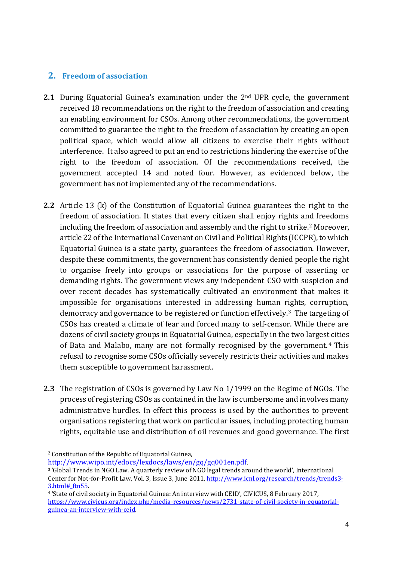## **2. Freedom of association**

- **2.1** During Equatorial Guinea's examination under the 2<sup>nd</sup> UPR cycle, the government received 18 recommendations on the right to the freedom of association and creating an enabling environment for CSOs. Among other recommendations, the government committed to guarantee the right to the freedom of association by creating an open political space, which would allow all citizens to exercise their rights without interference. It also agreed to put an end to restrictions hindering the exercise of the right to the freedom of association. Of the recommendations received, the government accepted 14 and noted four. However, as evidenced below, the government has not implemented any of the recommendations.
- **2.2** Article 13 (k) of the Constitution of Equatorial Guinea guarantees the right to the freedom of association. It states that every citizen shall enjoy rights and freedoms including the freedom of association and assembly and the right to strike.2 Moreover, article 22 of the International Covenant on Civil and Political Rights (ICCPR), to which Equatorial Guinea is a state party, guarantees the freedom of association. However, despite these commitments, the government has consistently denied people the right to organise freely into groups or associations for the purpose of asserting or demanding rights. The government views any independent CSO with suspicion and over recent decades has systematically cultivated an environment that makes it impossible for organisations interested in addressing human rights, corruption, democracy and governance to be registered or function effectively.3 The targeting of CSOs has created a climate of fear and forced many to self-censor. While there are dozens of civil society groups in Equatorial Guinea, especially in the two largest cities of Bata and Malabo, many are not formally recognised by the government. <sup>4</sup> This refusal to recognise some CSOs officially severely restricts their activities and makes them susceptible to government harassment.
- **2.3** The registration of CSOs is governed by Law No 1/1999 on the Regime of NGOs. The process of registering CSOs as contained in the law is cumbersome and involves many administrative hurdles. In effect this process is used by the authorities to prevent organisations registering that work on particular issues, including protecting human rights, equitable use and distribution of oil revenues and good governance. The first

<sup>-</sup><sup>2</sup> Constitution of the Republic of Equatorial Guinea,

[http://www.wipo.int/edocs/lexdocs/laws/en/gq/gq001en.pdf.](http://www.wipo.int/edocs/lexdocs/laws/en/gq/gq001en.pdf)

<sup>&</sup>lt;sup>3</sup> 'Global Trends in NGO Law. A quarterly review of NGO legal trends around the world', International Center for Not-for-Profit Law, Vol. 3, Issue 3, June 2011, [http://www.icnl.org/research/trends/trends3-](http://www.icnl.org/research/trends/trends3-3.html#_ftn55) [3.html#\\_ftn55.](http://www.icnl.org/research/trends/trends3-3.html#_ftn55)

<sup>4</sup> 'State of civil society in Equatorial Guinea: An interview with CEID', CIVICUS, 8 February 2017, [https://www.civicus.org/index.php/media-resources/news/2731-state-of-civil-society-in-equatorial](https://www.civicus.org/index.php/media-resources/news/2731-state-of-civil-society-in-equatorial-guinea-an-interview-with-ceid)[guinea-an-interview-with-ceid.](https://www.civicus.org/index.php/media-resources/news/2731-state-of-civil-society-in-equatorial-guinea-an-interview-with-ceid)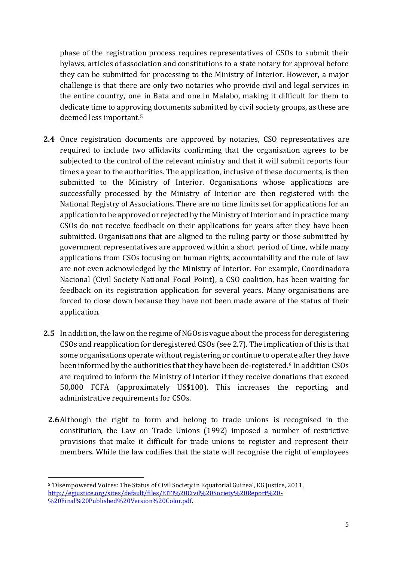phase of the registration process requires representatives of CSOs to submit their bylaws, articles of association and constitutions to a state notary for approval before they can be submitted for processing to the Ministry of Interior. However, a major challenge is that there are only two notaries who provide civil and legal services in the entire country, one in Bata and one in Malabo, making it difficult for them to dedicate time to approving documents submitted by civil society groups, as these are deemed less important. 5

- **2.4** Once registration documents are approved by notaries, CSO representatives are required to include two affidavits confirming that the organisation agrees to be subjected to the control of the relevant ministry and that it will submit reports four times a year to the authorities. The application, inclusive of these documents, is then submitted to the Ministry of Interior. Organisations whose applications are successfully processed by the Ministry of Interior are then registered with the National Registry of Associations. There are no time limits set for applications for an application to be approved or rejected by the Ministry of Interior and in practice many CSOs do not receive feedback on their applications for years after they have been submitted. Organisations that are aligned to the ruling party or those submitted by government representatives are approved within a short period of time, while many applications from CSOs focusing on human rights, accountability and the rule of law are not even acknowledged by the Ministry of Interior. For example, Coordinadora Nacional (Civil Society National Focal Point), a CSO coalition, has been waiting for feedback on its registration application for several years. Many organisations are forced to close down because they have not been made aware of the status of their application.
- **2.5** In addition, the law on the regime of NGOs is vague about the process for deregistering CSOs and reapplication for deregistered CSOs (see 2.7). The implication of this is that some organisations operate without registering or continue to operate after they have been informed by the authorities that they have been de-registered.<sup>6</sup> In addition CSOs are required to inform the Ministry of Interior if they receive donations that exceed 50,000 FCFA (approximately US\$100). This increases the reporting and administrative requirements for CSOs.
- **2.6**Although the right to form and belong to trade unions is recognised in the constitution, the Law on Trade Unions (1992) imposed a number of restrictive provisions that make it difficult for trade unions to register and represent their members. While the law codifies that the state will recognise the right of employees

<sup>-</sup><sup>5</sup> 'Disempowered Voices: The Status of Civil Society in Equatorial Guinea', EG Justice, 2011, [http://egjustice.org/sites/default/files/EITI%20Civil%20Society%20Report%20-](http://egjustice.org/sites/default/files/EITI%20Civil%20Society%20Report%20-%20Final%20Published%20Version%20Color.pdf) [%20Final%20Published%20Version%20Color.pdf.](http://egjustice.org/sites/default/files/EITI%20Civil%20Society%20Report%20-%20Final%20Published%20Version%20Color.pdf)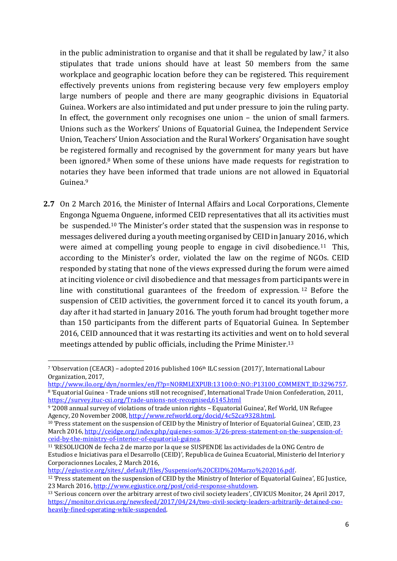in the public administration to organise and that it shall be regulated by law, <sup>7</sup> it also stipulates that trade unions should have at least 50 members from the same workplace and geographic location before they can be registered. This requirement effectively prevents unions from registering because very few employers employ large numbers of people and there are many geographic divisions in Equatorial Guinea. Workers are also intimidated and put under pressure to join the ruling party. In effect, the government only recognises one union – the union of small farmers. Unions such as the Workers' Unions of Equatorial Guinea, the Independent Service Union, Teachers' Union Association and the Rural Workers' Organisation have sought be registered formally and recognised by the government for many years but have been ignored.8 When some of these unions have made requests for registration to notaries they have been informed that trade unions are not allowed in Equatorial Guinea.9

**2.7** On 2 March 2016, the Minister of Internal Affairs and Local Corporations, Clemente Engonga Nguema Onguene, informed CEID representatives that all its activities must be suspended.10 The Minister's order stated that the suspension was in response to messages delivered during a youth meeting organised by CEID in January 2016, which were aimed at compelling young people to engage in civil disobedience.<sup>11</sup> This, according to the Minister's order, violated the law on the regime of NGOs. CEID responded by stating that none of the views expressed during the forum were aimed at inciting violence or civil disobedience and that messages from participants were in line with constitutional guarantees of the freedom of expression. <sup>12</sup> Before the suspension of CEID activities, the government forced it to cancel its youth forum, a day after it had started in January 2016. The youth forum had brought together more than 150 participants from the different parts of Equatorial Guinea. In September 2016, CEID announced that it was restarting its activities and went on to hold several meetings attended by public officials, including the Prime Minister.13

1

<sup>&</sup>lt;sup>7</sup> 'Observation (CEACR) – adopted 2016 published 106<sup>th</sup> ILC session (2017)', International Labour Organization, 2017,<br>http://www.ilo.org/dyn/normlex/en/f?p=NORMLEXPUB:13100:0::NO::P13100 COMMENT ID:3296757.

<sup>&</sup>lt;sup>8</sup> 'Equatorial Guinea - Trade unions still not recognised', International Trade Union Confederation, 2011, <https://survey.ituc-csi.org/Trade-unions-not-recognised,6145.html>

<sup>9</sup> '2008 annual survey of violations of trade union rights – Equatorial Guinea', Ref World, UN Refugee Agency, 20 November 2008, http://www.refworld.org/docid/4c52ca9328.html.<br><sup>10</sup> 'Press statement on the suspension of CEID by the Ministry of Interior of Equatorial Guinea', CEID, 23

March 2016, [http://ceidge.org/index.php/quienes-somos-3/26-press-statement-on-the-suspension-of](http://ceidge.org/index.php/quienes-somos-3/26-press-statement-on-the-suspension-of-ceid-by-the-ministry-of-interior-of-equatorial-guinea)[ceid-by-the-ministry-of-interior-of-equatorial-guinea.](http://ceidge.org/index.php/quienes-somos-3/26-press-statement-on-the-suspension-of-ceid-by-the-ministry-of-interior-of-equatorial-guinea) 11 'RESOLUCION de fecha 2 de marzo por la que se SUSPENDE las actividades de la ONG Centro de

Estudios e Iniciativas para el Desarrollo (CEID)', Republica de Guinea Ecuatorial, Ministerio del Interior y Corporacionnes Locales, 2 March 2016,<br>http://egiustice.org/sites/default/files/Suspension%20CEID%20Marzo%202016.pdf.

 $12$  'Press statement on the suspension of CEID by the Ministry of Interior of Equatorial Guinea', EG Justice, 23 March 2016, [http://www.egjustice.org/post/ceid-response-shutdown.](http://www.egjustice.org/post/ceid-response-shutdown)<br><sup>13</sup> 'Serious concern over the arbitrary arrest of two civil society leaders', CIVICUS Monitor, 24 April 2017,

[https://monitor.civicus.org/newsfeed/2017/04/24/two-civil-society-leaders-arbitrarily-detained-cso](https://monitor.civicus.org/newsfeed/2017/04/24/two-civil-society-leaders-arbitrarily-detained-cso-heavily-fined-operating-while-suspended/)[heavily-fined-operating-while-suspended.](https://monitor.civicus.org/newsfeed/2017/04/24/two-civil-society-leaders-arbitrarily-detained-cso-heavily-fined-operating-while-suspended/)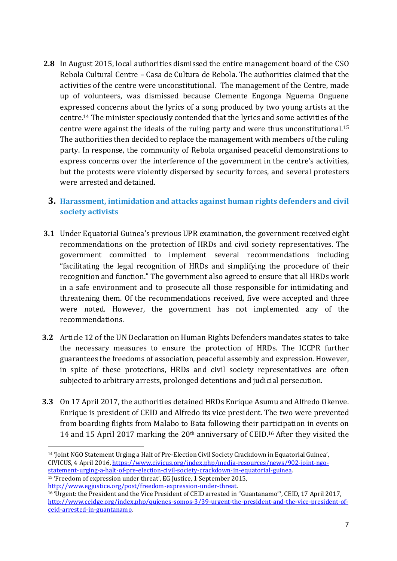**2.8** In August 2015, local authorities dismissed the entire management board of the CSO Rebola Cultural Centre – Casa de Cultura de Rebola. The authorities claimed that the activities of the centre were unconstitutional. The management of the Centre, made up of volunteers, was dismissed because Clemente Engonga Nguema Onguene expressed concerns about the lyrics of a song produced by two young artists at the centre.14 The minister speciously contended that the lyrics and some activities of the centre were against the ideals of the ruling party and were thus unconstitutional.15 The authorities then decided to replace the management with members of the ruling party. In response, the community of Rebola organised peaceful demonstrations to express concerns over the interference of the government in the centre's activities, but the protests were violently dispersed by security forces, and several protesters were arrested and detained.

## **3. Harassment, intimidation and attacks against human rights defenders and civil society activists**

- **3.1** Under Equatorial Guinea's previous UPR examination, the government received eight recommendations on the protection of HRDs and civil society representatives. The government committed to implement several recommendations including "facilitating the legal recognition of HRDs and simplifying the procedure of their recognition and function." The government also agreed to ensure that all HRDs work in a safe environment and to prosecute all those responsible for intimidating and threatening them. Of the recommendations received, five were accepted and three were noted. However, the government has not implemented any of the recommendations.
- **3.2** Article 12 of the UN Declaration on Human Rights Defenders mandates states to take the necessary measures to ensure the protection of HRDs. The ICCPR further guarantees the freedoms of association, peaceful assembly and expression. However, in spite of these protections, HRDs and civil society representatives are often subjected to arbitrary arrests, prolonged detentions and judicial persecution.
- **3.3** On 17 April 2017, the authorities detained HRDs Enrique Asumu and Alfredo Okenve. Enrique is president of CEID and Alfredo its vice president. The two were prevented from boarding flights from Malabo to Bata following their participation in events on 14 and 15 April 2017 marking the 20<sup>th</sup> anniversary of CEID.<sup>16</sup> After they visited the

-

<sup>14</sup> 'Joint NGO Statement Urging a Halt of Pre-Election Civil Society Crackdown in Equatorial Guinea', CIVICUS, 4 April 2016, [https://www.civicus.org/index.php/media-resources/news/902-joint-ngo](https://www.civicus.org/index.php/media-resources/news/902-joint-ngo-statement-urging-a-halt-of-pre-election-civil-society-crackdown-in-equatorial-guinea)[statement-urging-a-halt-of-pre-election-civil-society-crackdown-in-equatorial-guinea.](https://www.civicus.org/index.php/media-resources/news/902-joint-ngo-statement-urging-a-halt-of-pre-election-civil-society-crackdown-in-equatorial-guinea) 15 'Freedom of expression under threat', EG Justice, 1 September 2015,

[http://www.egjustice.org/post/freedom-expression-under-threat.](http://www.egjustice.org/post/freedom-expression-under-threat) 16 'Urgent: the President and the Vice President of CEID arrested in "Guantanamo"', CEID, 17 April 2017, [http://www.ceidge.org/index.php/quienes-somos-3/39-urgent-the-president-and-the-vice-president-of](http://www.ceidge.org/index.php/quienes-somos-3/39-urgent-the-president-and-the-vice-president-of-ceid-arrested-in-guantanamo)[ceid-arrested-in-guantanamo.](http://www.ceidge.org/index.php/quienes-somos-3/39-urgent-the-president-and-the-vice-president-of-ceid-arrested-in-guantanamo)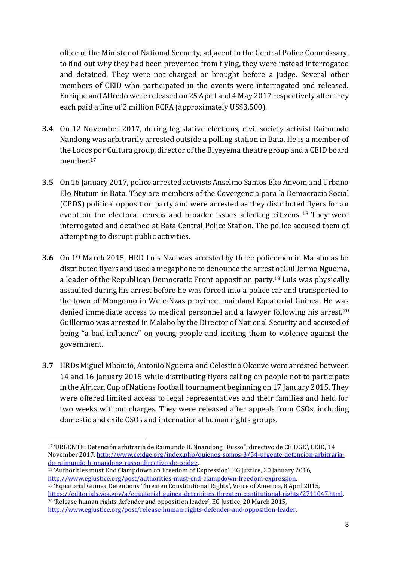office of the Minister of National Security, adjacent to the Central Police Commissary, to find out why they had been prevented from flying, they were instead interrogated and detained. They were not charged or brought before a judge. Several other members of CEID who participated in the events were interrogated and released. Enrique and Alfredo were released on 25 April and 4 May 2017 respectively after they each paid a fine of 2 million FCFA (approximately US\$3,500).

- **3.4** On 12 November 2017, during legislative elections, civil society activist Raimundo Nandong was arbitrarily arrested outside a polling station in Bata. He is a member of the Locos por Cultura group, director of the Biyeyema theatre group and a CEID board member. 17
- **3.5** On 16 January 2017, police arrested activists Anselmo Santos Eko Anvom and Urbano Elo Ntutum in Bata. They are members of the Covergencia para la Democracia Social (CPDS) political opposition party and were arrested as they distributed flyers for an event on the electoral census and broader issues affecting citizens.<sup>18</sup> They were interrogated and detained at Bata Central Police Station. The police accused them of attempting to disrupt public activities.
- **3.6** On 19 March 2015, HRD Luis Nzo was arrested by three policemen in Malabo as he distributed flyers and used a megaphone to denounce the arrest of Guillermo Nguema, a leader of the Republican Democratic Front opposition party. <sup>19</sup> Luis was physically assaulted during his arrest before he was forced into a police car and transported to the town of Mongomo in Wele-Nzas province, mainland Equatorial Guinea. He was denied immediate access to medical personnel and a lawyer following his arrest.<sup>20</sup> Guillermo was arrested in Malabo by the Director of National Security and accused of being "a bad influence" on young people and inciting them to violence against the government.
- **3.7** HRDs Miguel Mbomio, Antonio Nguema and Celestino Okenve were arrested between 14 and 16 January 2015 while distributing flyers calling on people not to participate in the African Cup of Nations football tournament beginning on 17 January 2015. They were offered limited access to legal representatives and their families and held for two weeks without charges. They were released after appeals from CSOs, including domestic and exile CSOs and international human rights groups.

<sup>19</sup> 'Equatorial Guinea Detentions Threaten Constitutional Rights', Voice of America, 8 April 2015, [https://editorials.voa.gov/a/equatorial-guinea-detentions-threaten-contitutional-rights/2711047.html.](https://editorials.voa.gov/a/equatorial-guinea-detentions-threaten-contitutional-rights/2711047.html) 20 'Release human rights defender and opposition leader', EG Justice, 20 March 2015, [http://www.egjustice.org/post/release-human-rights-defender-and-opposition-leader.](http://www.egjustice.org/post/release-human-rights-defender-and-opposition-leader)

<sup>-</sup><sup>17</sup> 'URGENTE: Detención arbitraria de Raimundo B. Nnandong "Russo", directivo de CEIDGE', CEID, 14 November 2017[, http://www.ceidge.org/index.php/quienes-somos-3/54-urgente-detencion-arbitraria](http://www.ceidge.org/index.php/quienes-somos-3/54-urgente-detencion-arbitraria-de-raimundo-b-nnandong-russo-directivo-de-ceidge)[de-raimundo-b-nnandong-russo-directivo-de-ceidge.](http://www.ceidge.org/index.php/quienes-somos-3/54-urgente-detencion-arbitraria-de-raimundo-b-nnandong-russo-directivo-de-ceidge) 18 'Authorities must End Clampdown on Freedom of Expression', EG Justice, 20 January 2016,

[http://www.egjustice.org/post/authorities-must-end-clampdown-freedom-expression.](http://www.egjustice.org/post/authorities-must-end-clampdown-freedom-expression)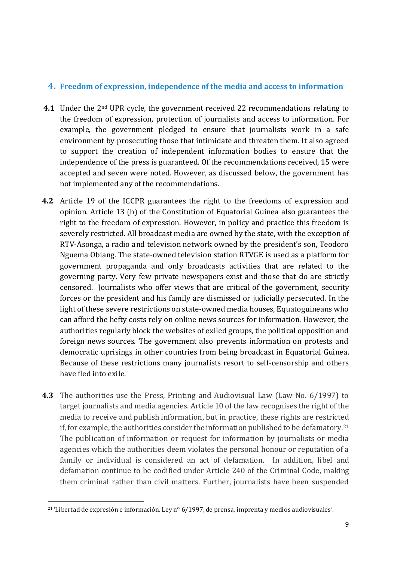#### **4. Freedom of expression, independence of the media and access to information**

- **4.1** Under the 2nd UPR cycle, the government received 22 recommendations relating to the freedom of expression, protection of journalists and access to information. For example, the government pledged to ensure that journalists work in a safe environment by prosecuting those that intimidate and threaten them. It also agreed to support the creation of independent information bodies to ensure that the independence of the press is guaranteed. Of the recommendations received, 15 were accepted and seven were noted. However, as discussed below, the government has not implemented any of the recommendations.
- **4.2** Article 19 of the ICCPR guarantees the right to the freedoms of expression and opinion. Article 13 (b) of the Constitution of Equatorial Guinea also guarantees the right to the freedom of expression. However, in policy and practice this freedom is severely restricted. All broadcast media are owned by the state, with the exception of RTV-Asonga, a radio and television network owned by the president's son, Teodoro Nguema Obiang. The state-owned television station RTVGE is used as a platform for government propaganda and only broadcasts activities that are related to the governing party. Very few private newspapers exist and those that do are strictly censored. Journalists who offer views that are critical of the government, security forces or the president and his family are dismissed or judicially persecuted. In the light of these severe restrictions on state-owned media houses, Equatoguineans who can afford the hefty costs rely on online news sources for information. However, the authorities regularly block the websites of exiled groups, the political opposition and foreign news sources. The government also prevents information on protests and democratic uprisings in other countries from being broadcast in Equatorial Guinea. Because of these restrictions many journalists resort to self-censorship and others have fled into exile.
- **4.3** The authorities use the Press, Printing and Audiovisual Law (Law No. 6/1997) to target journalists and media agencies. Article 10 of the law recognises the right of the media to receive and publish information, but in practice, these rights are restricted if, for example, the authorities consider the information published to be defamatory.<sup>21</sup> The publication of information or request for information by journalists or media agencies which the authorities deem violates the personal honour or reputation of a family or individual is considered an act of defamation. In addition, libel and defamation continue to be codified under Article 240 of the Criminal Code, making them criminal rather than civil matters. Further, journalists have been suspended

<sup>-</sup><sup>21</sup> 'Libertad de expresión e información. Ley nº 6/1997, de prensa, imprenta y medios audiovisuales'.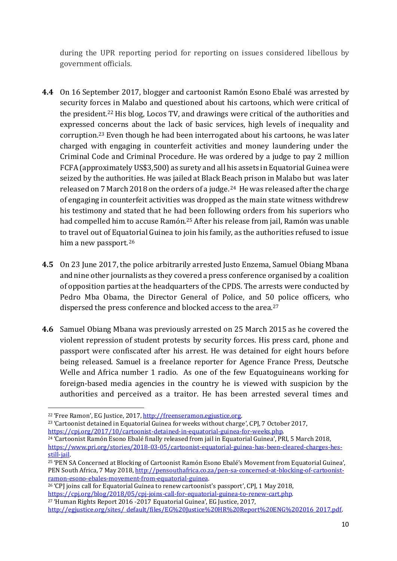during the UPR reporting period for reporting on issues considered libellous by government officials.

- **4.4** On 16 September 2017, blogger and cartoonist Ramón Esono Ebalé was arrested by security forces in Malabo and questioned about his cartoons, which were critical of the president.22 His blog, Locos TV, and drawings were critical of the authorities and expressed concerns about the lack of basic services, high levels of inequality and corruption.23 Even though he had been interrogated about his cartoons, he was later charged with engaging in counterfeit activities and money laundering under the Criminal Code and Criminal Procedure. He was ordered by a judge to pay 2 million FCFA (approximately US\$3,500) as surety and all his assets in Equatorial Guinea were seized by the authorities. He was jailed at Black Beach prison in Malabo but was later released on 7 March 2018 on the orders of a judge.24 He was released after the charge of engaging in counterfeit activities was dropped as the main state witness withdrew his testimony and stated that he had been following orders from his superiors who had compelled him to accuse Ramón. <sup>25</sup> After his release from jail, Ramón was unable to travel out of Equatorial Guinea to join his family, as the authorities refused to issue him a new passport.<sup>26</sup>
- **4.5** On 23 June 2017, the police arbitrarily arrested Justo Enzema, Samuel Obiang Mbana and nine other journalists as they covered a press conference organised by a coalition of opposition parties at the headquarters of the CPDS. The arrests were conducted by Pedro Mba Obama, the Director General of Police, and 50 police officers, who dispersed the press conference and blocked access to the area.<sup>27</sup>
- **4.6** Samuel Obiang Mbana was previously arrested on 25 March 2015 as he covered the violent repression of student protests by security forces. His press card, phone and passport were confiscated after his arrest. He was detained for eight hours before being released. Samuel is a freelance reporter for Agence France Press, Deutsche Welle and Africa number 1 radio. As one of the few Equatoguineans working for foreign-based media agencies in the country he is viewed with suspicion by the authorities and perceived as a traitor. He has been arrested several times and

-

<sup>&</sup>lt;sup>22</sup> 'Free Ramon', EG Justice, 2017, http://freenseramon.egjustice.org.<br><sup>23</sup> 'Cartoonist detained in Equatorial Guinea for weeks without charge', CPJ, 7 October 2017, [https://cpj.org/2017/10/cartoonist-detained-in-equatorial-guinea-for-weeks.php.](https://cpj.org/2017/10/cartoonist-detained-in-equatorial-guinea-for-weeks.php)

<sup>24</sup> 'Cartoonist Ramón Esono Ebalé finally released from jail in Equatorial Guinea', PRI, 5 March 2018, [https://www.pri.org/stories/2018-03-05/cartoonist-equatorial-guinea-has-been-cleared-charges-hes](https://www.pri.org/stories/2018-03-05/cartoonist-equatorial-guinea-has-been-cleared-charges-hes-still-jail)[still-jail.](https://www.pri.org/stories/2018-03-05/cartoonist-equatorial-guinea-has-been-cleared-charges-hes-still-jail) 25 'PEN SA Concerned at Blocking of Cartoonist Ramón Esono Ebalé's Movement from Equatorial Guinea',

PEN South Africa, 7 May 2018[, http://pensouthafrica.co.za/pen-sa-concerned-at-blocking-of-cartoonist](http://pensouthafrica.co.za/pen-sa-concerned-at-blocking-of-cartoonist-ramon-esono-ebales-movement-from-equatorial-guinea/)[ramon-esono-ebales-movement-from-equatorial-guinea.](http://pensouthafrica.co.za/pen-sa-concerned-at-blocking-of-cartoonist-ramon-esono-ebales-movement-from-equatorial-guinea/)<br><sup>26</sup> 'CPJ joins call for Equatorial Guinea to renew cartoonist's passport', CPJ, 1 May 2018,

[https://cpj.org/blog/2018/05/cpj-joins-call-for-equatorial-guinea-to-renew-cart.php.](https://cpj.org/blog/2018/05/cpj-joins-call-for-equatorial-guinea-to-renew-cart.php)

<sup>27</sup> 'Human Rights Report 2016 -2017 Equatorial Guinea', EG Justice, 2017, http://egjustice.org/sites/\_default/files/EG%20Justice%20HR%20Report%20ENG%202016\_2017.pdf.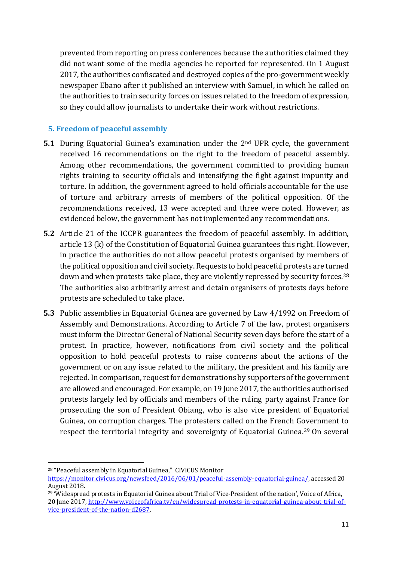prevented from reporting on press conferences because the authorities claimed they did not want some of the media agencies he reported for represented. On 1 August 2017, the authorities confiscated and destroyed copies of the pro-government weekly newspaper Ebano after it published an interview with Samuel, in which he called on the authorities to train security forces on issues related to the freedom of expression, so they could allow journalists to undertake their work without restrictions.

#### **5. Freedom of peaceful assembly**

- **5.1** During Equatorial Guinea's examination under the 2<sup>nd</sup> UPR cycle, the government received 16 recommendations on the right to the freedom of peaceful assembly. Among other recommendations, the government committed to providing human rights training to security officials and intensifying the fight against impunity and torture. In addition, the government agreed to hold officials accountable for the use of torture and arbitrary arrests of members of the political opposition. Of the recommendations received, 13 were accepted and three were noted. However, as evidenced below, the government has not implemented any recommendations.
- **5.2** Article 21 of the ICCPR guarantees the freedom of peaceful assembly. In addition, article 13 (k) of the Constitution of Equatorial Guinea guarantees this right. However, in practice the authorities do not allow peaceful protests organised by members of the political opposition and civil society. Requests to hold peaceful protests are turned down and when protests take place, they are violently repressed by security forces.<sup>28</sup> The authorities also arbitrarily arrest and detain organisers of protests days before protests are scheduled to take place.
- **5.3** Public assemblies in Equatorial Guinea are governed by Law 4/1992 on Freedom of Assembly and Demonstrations. According to Article 7 of the law, protest organisers must inform the Director General of National Security seven days before the start of a protest. In practice, however, notifications from civil society and the political opposition to hold peaceful protests to raise concerns about the actions of the government or on any issue related to the military, the president and his family are rejected. In comparison, request for demonstrations by supporters of the government are allowed and encouraged. For example, on 19 June 2017, the authorities authorised protests largely led by officials and members of the ruling party against France for prosecuting the son of President Obiang, who is also vice president of Equatorial Guinea, on corruption charges. The protesters called on the French Government to respect the territorial integrity and sovereignty of Equatorial Guinea.<sup>29</sup> On several

1

<sup>28</sup> "Peaceful assembly in Equatorial Guinea," CIVICUS Monitor

[https://monitor.civicus.org/newsfeed/2016/06/01/peaceful-assembly-equatorial-guinea/,](https://monitor.civicus.org/newsfeed/2016/06/01/peaceful-assembly-equatorial-guinea/) accessed 20 August 2018.

<sup>29</sup> 'Widespread protests in Equatorial Guinea about Trial of Vice-President of the nation', Voice of Africa, 20 June 2017, [http://www.voiceofafrica.tv/en/widespread-protests-in-equatorial-guinea-about-trial-of](http://www.voiceofafrica.tv/en/widespread-protests-in-equatorial-guinea-about-trial-of-vice-president-of-the-nation-d2687)[vice-president-of-the-nation-d2687.](http://www.voiceofafrica.tv/en/widespread-protests-in-equatorial-guinea-about-trial-of-vice-president-of-the-nation-d2687)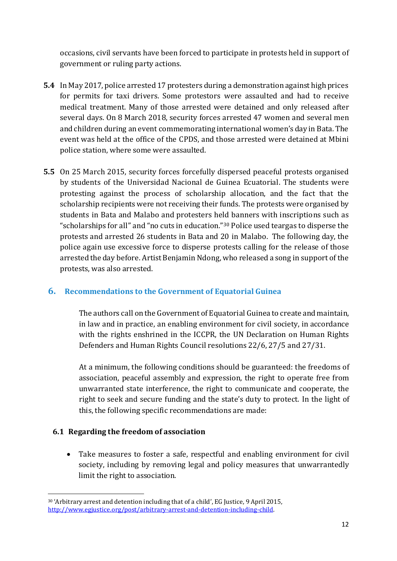occasions, civil servants have been forced to participate in protests held in support of government or ruling party actions.

- **5.4** In May 2017, police arrested 17 protesters during a demonstration against high prices for permits for taxi drivers. Some protestors were assaulted and had to receive medical treatment. Many of those arrested were detained and only released after several days. On 8 March 2018, security forces arrested 47 women and several men and children during an event commemorating international women's day in Bata. The event was held at the office of the CPDS, and those arrested were detained at Mbini police station, where some were assaulted.
- **5.5** On 25 March 2015, security forces forcefully dispersed peaceful protests organised by students of the Universidad Nacional de Guinea Ecuatorial. The students were protesting against the process of scholarship allocation, and the fact that the scholarship recipients were not receiving their funds. The protests were organised by students in Bata and Malabo and protesters held banners with inscriptions such as "scholarships for all" and "no cuts in education."<sup>30</sup> Police used teargas to disperse the protests and arrested 26 students in Bata and 20 in Malabo. The following day, the police again use excessive force to disperse protests calling for the release of those arrested the day before. Artist Benjamin Ndong, who released a song in support of the protests, was also arrested.

#### **6. Recommendations to the Government of Equatorial Guinea**

The authors call on the Government of Equatorial Guinea to create and maintain, in law and in practice, an enabling environment for civil society, in accordance with the rights enshrined in the ICCPR, the UN Declaration on Human Rights Defenders and Human Rights Council resolutions 22/6, 27/5 and 27/31.

At a minimum, the following conditions should be guaranteed: the freedoms of association, peaceful assembly and expression, the right to operate free from unwarranted state interference, the right to communicate and cooperate, the right to seek and secure funding and the state's duty to protect. In the light of this, the following specific recommendations are made:

#### **6.1 Regarding the freedom of association**

• Take measures to foster a safe, respectful and enabling environment for civil society, including by removing legal and policy measures that unwarrantedly limit the right to association.

<sup>-</sup><sup>30</sup> 'Arbitrary arrest and detention including that of a child', EG Justice, 9 April 2015, [http://www.egjustice.org/post/arbitrary-arrest-and-detention-including-child.](http://www.egjustice.org/post/arbitrary-arrest-and-detention-including-child)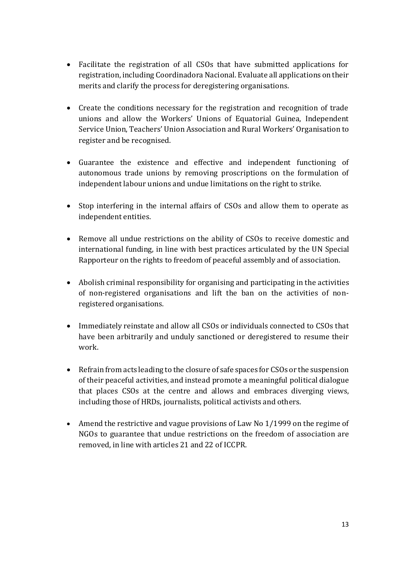- Facilitate the registration of all CSOs that have submitted applications for registration, including Coordinadora Nacional. Evaluate all applications on their merits and clarify the process for deregistering organisations.
- Create the conditions necessary for the registration and recognition of trade unions and allow the Workers' Unions of Equatorial Guinea, Independent Service Union, Teachers' Union Association and Rural Workers' Organisation to register and be recognised.
- Guarantee the existence and effective and independent functioning of autonomous trade unions by removing proscriptions on the formulation of independent labour unions and undue limitations on the right to strike.
- Stop interfering in the internal affairs of CSOs and allow them to operate as independent entities.
- Remove all undue restrictions on the ability of CSOs to receive domestic and international funding, in line with best practices articulated by the UN Special Rapporteur on the rights to freedom of peaceful assembly and of association.
- Abolish criminal responsibility for organising and participating in the activities of non-registered organisations and lift the ban on the activities of nonregistered organisations.
- Immediately reinstate and allow all CSOs or individuals connected to CSOs that have been arbitrarily and unduly sanctioned or deregistered to resume their work.
- Refrain from acts leading to the closure of safe spaces for CSOs or the suspension of their peaceful activities, and instead promote a meaningful political dialogue that places CSOs at the centre and allows and embraces diverging views, including those of HRDs, journalists, political activists and others.
- Amend the restrictive and vague provisions of Law No 1/1999 on the regime of NGOs to guarantee that undue restrictions on the freedom of association are removed, in line with articles 21 and 22 of ICCPR.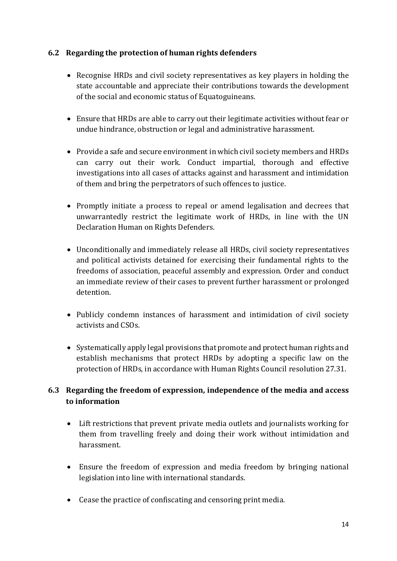#### **6.2 Regarding the protection of human rights defenders**

- Recognise HRDs and civil society representatives as key players in holding the state accountable and appreciate their contributions towards the development of the social and economic status of Equatoguineans.
- Ensure that HRDs are able to carry out their legitimate activities without fear or undue hindrance, obstruction or legal and administrative harassment.
- Provide a safe and secure environment in which civil society members and HRDs can carry out their work. Conduct impartial, thorough and effective investigations into all cases of attacks against and harassment and intimidation of them and bring the perpetrators of such offences to justice.
- Promptly initiate a process to repeal or amend legalisation and decrees that unwarrantedly restrict the legitimate work of HRDs, in line with the UN Declaration Human on Rights Defenders.
- Unconditionally and immediately release all HRDs, civil society representatives and political activists detained for exercising their fundamental rights to the freedoms of association, peaceful assembly and expression. Order and conduct an immediate review of their cases to prevent further harassment or prolonged detention.
- Publicly condemn instances of harassment and intimidation of civil society activists and CSOs.
- Systematically apply legal provisions that promote and protect human rights and establish mechanisms that protect HRDs by adopting a specific law on the protection of HRDs, in accordance with Human Rights Council resolution 27.31.

### **6.3 Regarding the freedom of expression, independence of the media and access to information**

- Lift restrictions that prevent private media outlets and journalists working for them from travelling freely and doing their work without intimidation and harassment.
- Ensure the freedom of expression and media freedom by bringing national legislation into line with international standards.
- Cease the practice of confiscating and censoring print media.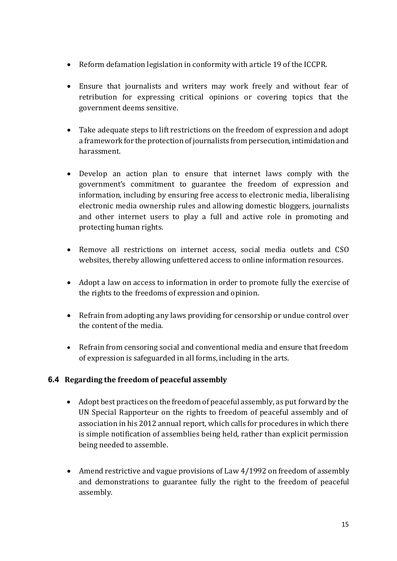- Reform defamation legislation in conformity with article 19 of the ICCPR.
- Ensure that journalists and writers may work freely and without fear of retribution for expressing critical opinions or covering topics that the government deems sensitive.
- Take adequate steps to lift restrictions on the freedom of expression and adopt a framework for the protection of journalists from persecution, intimidation and harassment.
- Develop an action plan to ensure that internet laws comply with the government's commitment to guarantee the freedom of expression and information, including by ensuring free access to electronic media, liberalising electronic media ownership rules and allowing domestic bloggers, journalists and other internet users to play a full and active role in promoting and protecting human rights.
- Remove all restrictions on internet access, social media outlets and CSO websites, thereby allowing unfettered access to online information resources.
- Adopt a law on access to information in order to promote fully the exercise of the rights to the freedoms of expression and opinion.
- Refrain from adopting any laws providing for censorship or undue control over the content of the media.
- Refrain from censoring social and conventional media and ensure that freedom of expression is safeguarded in all forms, including in the arts.

#### **6.4 Regarding the freedom of peaceful assembly**

- Adopt best practices on the freedom of peaceful assembly, as put forward by the UN Special Rapporteur on the rights to freedom of peaceful assembly and of association in his 2012 annual report, which calls for procedures in which there is simple notification of assemblies being held, rather than explicit permission being needed to assemble.
- Amend restrictive and vague provisions of Law 4/1992 on freedom of assembly and demonstrations to guarantee fully the right to the freedom of peaceful assembly.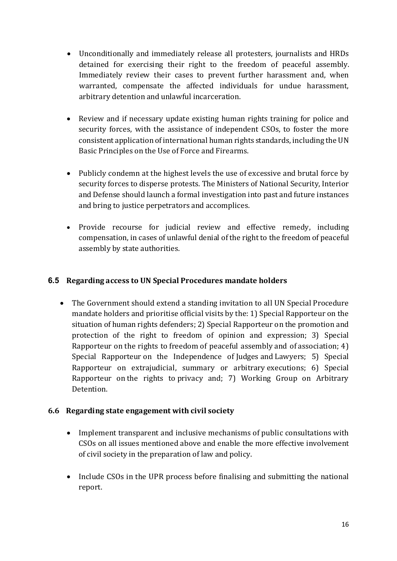- Unconditionally and immediately release all protesters, journalists and HRDs detained for exercising their right to the freedom of peaceful assembly. Immediately review their cases to prevent further harassment and, when warranted, compensate the affected individuals for undue harassment, arbitrary detention and unlawful incarceration.
- Review and if necessary update existing human rights training for police and security forces, with the assistance of independent CSOs, to foster the more consistent application of international human rights standards, including the UN Basic Principles on the Use of Force and Firearms.
- Publicly condemn at the highest levels the use of excessive and brutal force by security forces to disperse protests. The Ministers of National Security, Interior and Defense should launch a formal investigation into past and future instances and bring to justice perpetrators and accomplices.
- Provide recourse for judicial review and effective remedy, including compensation, in cases of unlawful denial of the right to the freedom of peaceful assembly by state authorities.

### **6.5 Regarding access to UN Special Procedures mandate holders**

• The Government should extend a standing invitation to all UN Special Procedure mandate holders and prioritise official visits by the: 1) Special Rapporteur on the situation of human rights defenders; 2) Special Rapporteur on the promotion and protection of the right to freedom of opinion and expression; 3) Special Rapporteur on the rights to freedom of peaceful assembly and of association; 4) Special Rapporteur on the Independence of Judges and Lawyers; 5) Special Rapporteur on extrajudicial, summary or arbitrary executions; 6) Special Rapporteur on the rights to privacy and; 7) Working Group on Arbitrary Detention.

#### **6.6 Regarding state engagement with civil society**

- Implement transparent and inclusive mechanisms of public consultations with CSOs on all issues mentioned above and enable the more effective involvement of civil society in the preparation of law and policy.
- Include CSOs in the UPR process before finalising and submitting the national report.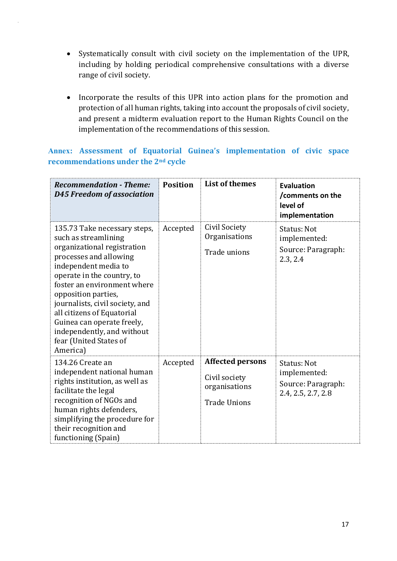- Systematically consult with civil society on the implementation of the UPR, including by holding periodical comprehensive consultations with a diverse range of civil society.
- Incorporate the results of this UPR into action plans for the promotion and protection of all human rights, taking into account the proposals of civil society, and present a midterm evaluation report to the Human Rights Council on the implementation of the recommendations of this session.

#### **Annex: Assessment of Equatorial Guinea's implementation of civic space recommendations under the 2nd cycle**

| <b>Recommendation - Theme:</b><br><b>D45 Freedom of association</b>                                                                                                                                                                                                                                                                                                                          | <b>Position</b> | <b>List of themes</b>                                                            | <b>Evaluation</b><br>/comments on the<br>level of<br>implementation            |
|----------------------------------------------------------------------------------------------------------------------------------------------------------------------------------------------------------------------------------------------------------------------------------------------------------------------------------------------------------------------------------------------|-----------------|----------------------------------------------------------------------------------|--------------------------------------------------------------------------------|
| 135.73 Take necessary steps,<br>such as streamlining<br>organizational registration<br>processes and allowing<br>independent media to<br>operate in the country, to<br>foster an environment where<br>opposition parties,<br>journalists, civil society, and<br>all citizens of Equatorial<br>Guinea can operate freely,<br>independently, and without<br>fear (United States of<br>America) | Accepted        | Civil Society<br>Organisations<br>Trade unions                                   | <b>Status: Not</b><br>implemented:<br>Source: Paragraph:<br>2.3, 2.4           |
| 134.26 Create an<br>independent national human<br>rights institution, as well as<br>facilitate the legal<br>recognition of NGOs and<br>human rights defenders,<br>simplifying the procedure for<br>their recognition and<br>functioning (Spain)                                                                                                                                              | Accepted        | <b>Affected persons</b><br>Civil society<br>organisations<br><b>Trade Unions</b> | <b>Status: Not</b><br>implemented:<br>Source: Paragraph:<br>2.4, 2.5, 2.7, 2.8 |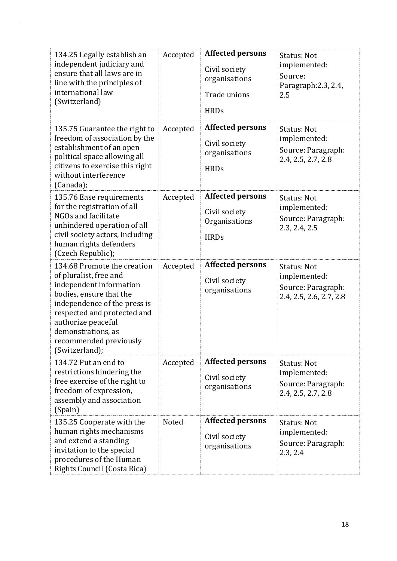| 134.25 Legally establish an<br>independent judiciary and<br>ensure that all laws are in<br>line with the principles of<br>international law<br>(Switzerland)                                                                                                       | Accepted | <b>Affected persons</b><br>Civil society<br>organisations<br>Trade unions<br><b>HRDs</b> | <b>Status: Not</b><br>implemented:<br>Source:<br>Paragraph: 2.3, 2.4,<br>2.5        |
|--------------------------------------------------------------------------------------------------------------------------------------------------------------------------------------------------------------------------------------------------------------------|----------|------------------------------------------------------------------------------------------|-------------------------------------------------------------------------------------|
| 135.75 Guarantee the right to<br>freedom of association by the<br>establishment of an open<br>political space allowing all<br>citizens to exercise this right<br>without interference<br>(Canada);                                                                 | Accepted | <b>Affected persons</b><br>Civil society<br>organisations<br><b>HRDs</b>                 | <b>Status: Not</b><br>implemented:<br>Source: Paragraph:<br>2.4, 2.5, 2.7, 2.8      |
| 135.76 Ease requirements<br>for the registration of all<br>NGOs and facilitate<br>unhindered operation of all<br>civil society actors, including<br>human rights defenders<br>(Czech Republic);                                                                    | Accepted | <b>Affected persons</b><br>Civil society<br>Organisations<br><b>HRDs</b>                 | <b>Status: Not</b><br>implemented:<br>Source: Paragraph:<br>2.3, 2.4, 2.5           |
| 134.68 Promote the creation<br>of pluralist, free and<br>independent information<br>bodies, ensure that the<br>independence of the press is<br>respected and protected and<br>authorize peaceful<br>demonstrations, as<br>recommended previously<br>(Switzerland); | Accepted | <b>Affected persons</b><br>Civil society<br>organisations                                | <b>Status: Not</b><br>implemented:<br>Source: Paragraph:<br>2.4, 2.5, 2.6, 2.7, 2.8 |
| 134.72 Put an end to<br>restrictions hindering the<br>free exercise of the right to<br>freedom of expression,<br>assembly and association<br>(Spain)                                                                                                               | Accepted | <b>Affected persons</b><br>Civil society<br>organisations                                | <b>Status: Not</b><br>implemented:<br>Source: Paragraph:<br>2.4, 2.5, 2.7, 2.8      |
| 135.25 Cooperate with the<br>human rights mechanisms<br>and extend a standing<br>invitation to the special<br>procedures of the Human<br>Rights Council (Costa Rica)                                                                                               | Noted    | <b>Affected persons</b><br>Civil society<br>organisations                                | <b>Status: Not</b><br>implemented:<br>Source: Paragraph:<br>2.3, 2.4                |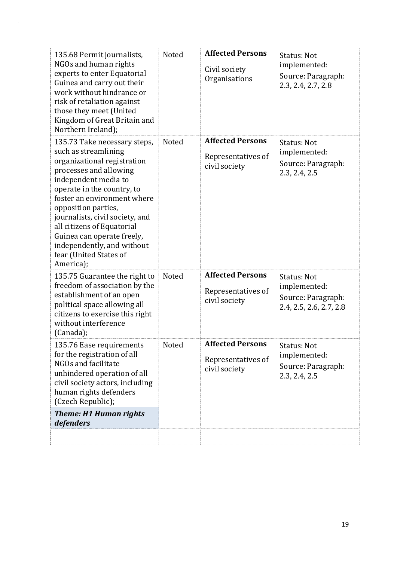| 135.68 Permit journalists,<br>NGOs and human rights<br>experts to enter Equatorial<br>Guinea and carry out their<br>work without hindrance or<br>risk of retaliation against<br>those they meet (United<br>Kingdom of Great Britain and<br>Northern Ireland);                                                                                                                                 | Noted        | <b>Affected Persons</b><br>Civil society<br>Organisations      | <b>Status: Not</b><br>implemented:<br>Source: Paragraph:<br>2.3, 2.4, 2.7, 2.8      |
|-----------------------------------------------------------------------------------------------------------------------------------------------------------------------------------------------------------------------------------------------------------------------------------------------------------------------------------------------------------------------------------------------|--------------|----------------------------------------------------------------|-------------------------------------------------------------------------------------|
| 135.73 Take necessary steps,<br>such as streamlining<br>organizational registration<br>processes and allowing<br>independent media to<br>operate in the country, to<br>foster an environment where<br>opposition parties,<br>journalists, civil society, and<br>all citizens of Equatorial<br>Guinea can operate freely,<br>independently, and without<br>fear (United States of<br>America); | <b>Noted</b> | <b>Affected Persons</b><br>Representatives of<br>civil society | <b>Status: Not</b><br>implemented:<br>Source: Paragraph:<br>2.3, 2.4, 2.5           |
| 135.75 Guarantee the right to<br>freedom of association by the<br>establishment of an open<br>political space allowing all<br>citizens to exercise this right<br>without interference<br>(Canada);                                                                                                                                                                                            | Noted        | <b>Affected Persons</b><br>Representatives of<br>civil society | <b>Status: Not</b><br>implemented:<br>Source: Paragraph:<br>2.4, 2.5, 2.6, 2.7, 2.8 |
| 135.76 Ease requirements<br>for the registration of all<br>NGOs and facilitate<br>unhindered operation of all<br>civil society actors, including<br>human rights defenders<br>(Czech Republic);                                                                                                                                                                                               | Noted        | <b>Affected Persons</b><br>Representatives of<br>civil society | <b>Status: Not</b><br>implemented:<br>Source: Paragraph:<br>2.3, 2.4, 2.5           |
| <b>Theme: H1 Human rights</b><br>defenders                                                                                                                                                                                                                                                                                                                                                    |              |                                                                |                                                                                     |
|                                                                                                                                                                                                                                                                                                                                                                                               |              |                                                                |                                                                                     |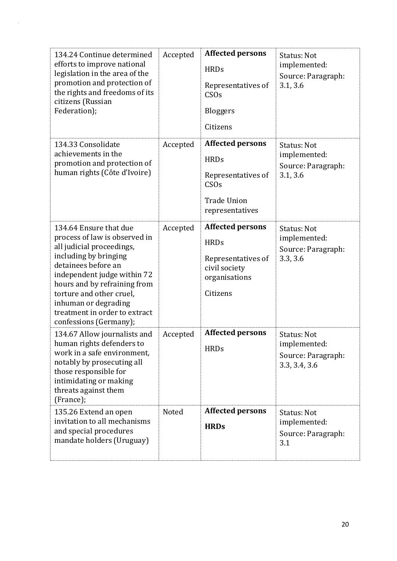| 134.24 Continue determined<br>efforts to improve national<br>legislation in the area of the<br>promotion and protection of<br>the rights and freedoms of its<br>citizens (Russian<br>Federation);                                                                                                                  | Accepted | <b>Affected persons</b><br><b>HRDs</b><br>Representatives of<br>CSOS<br><b>Bloggers</b><br>Citizens                       | <b>Status: Not</b><br>implemented:<br>Source: Paragraph:<br>3.1, 3.6      |
|--------------------------------------------------------------------------------------------------------------------------------------------------------------------------------------------------------------------------------------------------------------------------------------------------------------------|----------|---------------------------------------------------------------------------------------------------------------------------|---------------------------------------------------------------------------|
| 134.33 Consolidate<br>achievements in the<br>promotion and protection of<br>human rights (Côte d'Ivoire)                                                                                                                                                                                                           | Accepted | <b>Affected persons</b><br><b>HRDs</b><br>Representatives of<br>CSO <sub>s</sub><br><b>Trade Union</b><br>representatives | <b>Status: Not</b><br>implemented:<br>Source: Paragraph:<br>3.1, 3.6      |
| 134.64 Ensure that due<br>process of law is observed in<br>all judicial proceedings,<br>including by bringing<br>detainees before an<br>independent judge within 72<br>hours and by refraining from<br>torture and other cruel,<br>inhuman or degrading<br>treatment in order to extract<br>confessions (Germany); | Accepted | <b>Affected persons</b><br><b>HRDs</b><br>Representatives of<br>civil society<br>organisations<br>Citizens                | <b>Status: Not</b><br>implemented:<br>Source: Paragraph:<br>3.3, 3.6      |
| 134.67 Allow journalists and<br>human rights defenders to<br>work in a safe environment,<br>notably by prosecuting all<br>those responsible for<br>intimidating or making<br>threats against them<br>(France);                                                                                                     | Accepted | <b>Affected persons</b><br><b>HRDs</b>                                                                                    | <b>Status: Not</b><br>implemented:<br>Source: Paragraph:<br>3.3, 3.4, 3.6 |
| 135.26 Extend an open<br>invitation to all mechanisms<br>and special procedures<br>mandate holders (Uruguay)                                                                                                                                                                                                       | Noted    | <b>Affected persons</b><br><b>HRDs</b>                                                                                    | <b>Status: Not</b><br>implemented:<br>Source: Paragraph:<br>3.1           |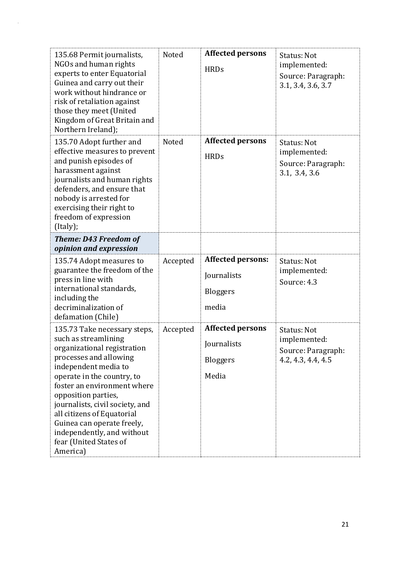| 135.68 Permit journalists,<br>NGOs and human rights<br>experts to enter Equatorial<br>Guinea and carry out their<br>work without hindrance or<br>risk of retaliation against<br>those they meet (United<br>Kingdom of Great Britain and<br>Northern Ireland);                                                                                                                                | <b>Noted</b> | <b>Affected persons</b><br><b>HRDs</b>                             | <b>Status: Not</b><br>implemented:<br>Source: Paragraph:<br>3.1, 3.4, 3.6, 3.7 |
|----------------------------------------------------------------------------------------------------------------------------------------------------------------------------------------------------------------------------------------------------------------------------------------------------------------------------------------------------------------------------------------------|--------------|--------------------------------------------------------------------|--------------------------------------------------------------------------------|
| 135.70 Adopt further and<br>effective measures to prevent<br>and punish episodes of<br>harassment against<br>journalists and human rights<br>defenders, and ensure that<br>nobody is arrested for<br>exercising their right to<br>freedom of expression<br>(Italy);                                                                                                                          | <b>Noted</b> | <b>Affected persons</b><br><b>HRDs</b>                             | <b>Status: Not</b><br>implemented:<br>Source: Paragraph:<br>3.1, 3.4, 3.6      |
| <b>Theme: D43 Freedom of</b><br>opinion and expression                                                                                                                                                                                                                                                                                                                                       |              |                                                                    |                                                                                |
| 135.74 Adopt measures to<br>guarantee the freedom of the<br>press in line with<br>international standards,<br>including the<br>decriminalization of<br>defamation (Chile)                                                                                                                                                                                                                    | Accepted     | <b>Affected persons:</b><br>Journalists<br>Bloggers<br>media       | <b>Status: Not</b><br>implemented:<br>Source: 4.3                              |
| 135.73 Take necessary steps,<br>such as streamlining<br>organizational registration<br>processes and allowing<br>independent media to<br>operate in the country, to<br>foster an environment where<br>opposition parties,<br>journalists, civil society, and<br>all citizens of Equatorial<br>Guinea can operate freely,<br>independently, and without<br>fear (United States of<br>America) | Accepted     | <b>Affected persons</b><br>Journalists<br><b>Bloggers</b><br>Media | <b>Status: Not</b><br>implemented:<br>Source: Paragraph:<br>4.2, 4.3, 4.4, 4.5 |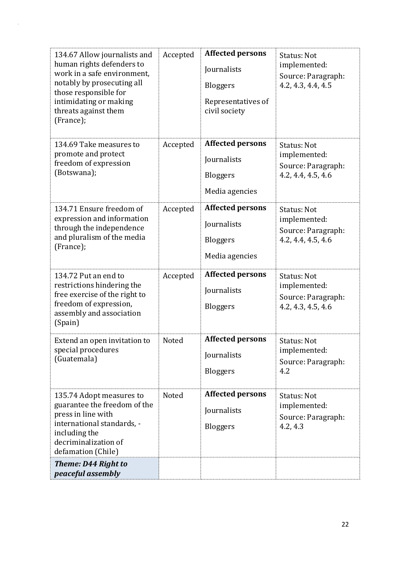| 134.67 Allow journalists and<br>human rights defenders to<br>work in a safe environment,<br>notably by prosecuting all<br>those responsible for<br>intimidating or making<br>threats against them<br>(France); | Accepted | <b>Affected persons</b><br>Journalists<br><b>Bloggers</b><br>Representatives of<br>civil society | <b>Status: Not</b><br>implemented:<br>Source: Paragraph:<br>4.2, 4.3, 4.4, 4.5 |
|----------------------------------------------------------------------------------------------------------------------------------------------------------------------------------------------------------------|----------|--------------------------------------------------------------------------------------------------|--------------------------------------------------------------------------------|
| 134.69 Take measures to<br>promote and protect<br>freedom of expression<br>(Botswana);                                                                                                                         | Accepted | <b>Affected persons</b><br>Journalists<br><b>Bloggers</b><br>Media agencies                      | <b>Status: Not</b><br>implemented:<br>Source: Paragraph:<br>4.2, 4.4, 4.5, 4.6 |
| 134.71 Ensure freedom of<br>expression and information<br>through the independence<br>and pluralism of the media<br>(France);                                                                                  | Accepted | <b>Affected persons</b><br>Journalists<br><b>Bloggers</b><br>Media agencies                      | <b>Status: Not</b><br>implemented:<br>Source: Paragraph:<br>4.2, 4.4, 4.5, 4.6 |
| 134.72 Put an end to<br>restrictions hindering the<br>free exercise of the right to<br>freedom of expression,<br>assembly and association<br>(Spain)                                                           | Accepted | <b>Affected persons</b><br>Journalists<br><b>Bloggers</b>                                        | <b>Status: Not</b><br>implemented:<br>Source: Paragraph:<br>4.2, 4.3, 4.5, 4.6 |
| Extend an open invitation to<br>special procedures<br>(Guatemala)                                                                                                                                              | Noted    | <b>Affected persons</b><br>Journalists<br><b>Bloggers</b>                                        | <b>Status: Not</b><br>implemented:<br>Source: Paragraph:<br>4.2                |
| 135.74 Adopt measures to<br>guarantee the freedom of the<br>press in line with<br>international standards, -<br>including the<br>decriminalization of<br>defamation (Chile)                                    | Noted    | <b>Affected persons</b><br>Journalists<br><b>Bloggers</b>                                        | <b>Status: Not</b><br>implemented:<br>Source: Paragraph:<br>4.2, 4.3           |
| <b>Theme: D44 Right to</b><br>peaceful assembly                                                                                                                                                                |          |                                                                                                  |                                                                                |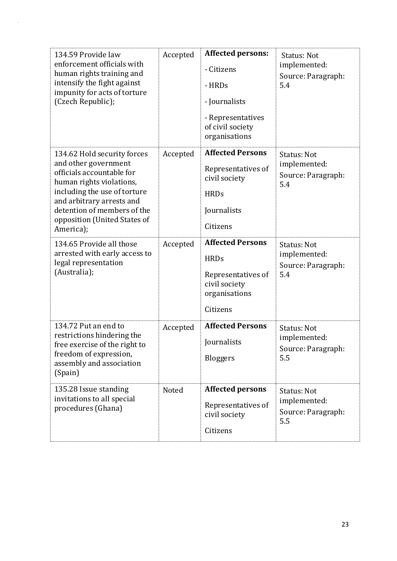| 134.59 Provide law<br>enforcement officials with<br>human rights training and<br>intensify the fight against<br>impunity for acts of torture<br>(Czech Republic);                                                                                     | Accepted | <b>Affected persons:</b><br>- Citizens<br>- HRDs<br>- Journalists<br>- Representatives<br>of civil society<br>organisations | <b>Status: Not</b><br>implemented:<br>Source: Paragraph:<br>5.4 |
|-------------------------------------------------------------------------------------------------------------------------------------------------------------------------------------------------------------------------------------------------------|----------|-----------------------------------------------------------------------------------------------------------------------------|-----------------------------------------------------------------|
| 134.62 Hold security forces<br>and other government<br>officials accountable for<br>human rights violations,<br>including the use of torture<br>and arbitrary arrests and<br>detention of members of the<br>opposition (United States of<br>America); | Accepted | <b>Affected Persons</b><br>Representatives of<br>civil society<br><b>HRDs</b><br>Journalists<br>Citizens                    | <b>Status: Not</b><br>implemented:<br>Source: Paragraph:<br>5.4 |
| 134.65 Provide all those<br>arrested with early access to<br>legal representation<br>(Australia);                                                                                                                                                     | Accepted | <b>Affected Persons</b><br><b>HRDs</b><br>Representatives of<br>civil society<br>organisations<br>Citizens                  | <b>Status: Not</b><br>implemented:<br>Source: Paragraph:<br>5.4 |
| 134.72 Put an end to<br>restrictions hindering the<br>free exercise of the right to<br>freedom of expression,<br>assembly and association<br>(Spain)                                                                                                  | Accepted | <b>Affected Persons</b><br><b>Iournalists</b><br><b>Bloggers</b>                                                            | <b>Status: Not</b><br>implemented:<br>Source: Paragraph:<br>5.5 |
| 135.28 Issue standing<br>invitations to all special<br>procedures (Ghana)                                                                                                                                                                             | Noted    | <b>Affected persons</b><br>Representatives of<br>civil society<br>Citizens                                                  | <b>Status: Not</b><br>implemented:<br>Source: Paragraph:<br>5.5 |